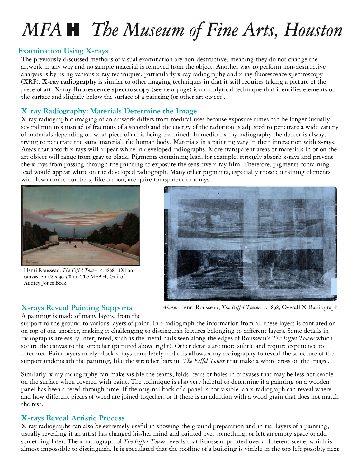# MFA **H** The Museum of Fine Arts, Houston

## **Examination Using X-rays**

The previously discussed methods of visual examination are non-destructive, meaning they do not change the artwork in any way and no sample material is removed from the object. Another way to perform non-destructive analysis is by using various x-ray techniques, particularly x-ray radiography and x-ray fluorescence spectroscopy (XRF). **X-ray radiography** is similar to other imaging techniques in that it still requires taking a picture of the piece of art. **X-ray fluorescence spectroscopy** (see next page) is an analytical technique that identifies elements on the surface and slightly below the surface of a painting (or other art object).

### **X-ray Radiography: Materials Determine the Image**

X-ray radiographic imaging of an artwork differs from medical uses because exposure times can be longer (usually several minutes instead of fractions of a second) and the energy of the radiation is adjusted to penetrate a wide variety of materials depending on what piece of art is being examined. In medical x-ray radiography the doctor is always trying to penetrate the same material, the human body. Materials in a painting vary in their interaction with x-rays. Areas that absorb x-rays will appear white in developed radiographs. More transparent areas or materials in or on the art object will range from gray to black. Pigments containing lead, for example, strongly absorb x-rays and prevent the x-rays from passing through the painting to exposure the sensitive x-ray film. Therefore, pigments containing lead would appear white on the developed radiograph. Many other pigments, especially those containing elements with low atomic numbers, like carbon, are quite transparent to x-rays.



Henri Rousseau, *The Eiffel Tower*, c. 1898. Oil on canvas. 20 5/8 x 30 3/8 in. The MFAH, Gift of Audrey Jones Beck



# **X-rays Reveal Painting Supports**

A painting is made of many layers, from the

*Above:* Henri Rousseau, *The Eiffel Tower*, c. 1898, Overall X-Radiograph

support to the ground to various layers of paint. In a radiograph the information from all these layers is conflated or on top of one another, making it challenging to distinguish features belonging to different layers. Some details in radiographs are easily interpreted, such as the metal nails seen along the edges of Rousseau's *The Eiffel Tower* which secure the canvas to the stretcher (pictured above right). Other details are more subtle and require experience to interpret. Paint layers rarely block x-rays completely and this allows x-ray radiography to reveal the structure of the support underneath the painting, like the stretcher bars in *The Eiffel Tower* that make a white cross on the image.

Similarly, x-ray radiography can make visible the seams, folds, tears or holes in canvases that may be less noticeable on the surface when covered with paint. The technique is also very helpful to determine if a painting on a wooden panel has been altered through time. If the original back of a panel is not visible, an x-radiograph can reveal where and how different pieces of wood are joined together, or if there is an addition with a wood grain that does not match the rest.

## **X-rays Reveal Artistic Process**

X-ray radiographs can also be extremely useful in showing the ground preparation and initial layers of a painting, usually revealing if an artist has changed his/her mind and painted over something, or left an empty space to add something later. The x-radiograph of *The Eiffel Tower* reveals that Rousseau painted over a different scene, which is almost impossible to distinguish. It is speculated that the roofline of a building is visible in the top left possibly next